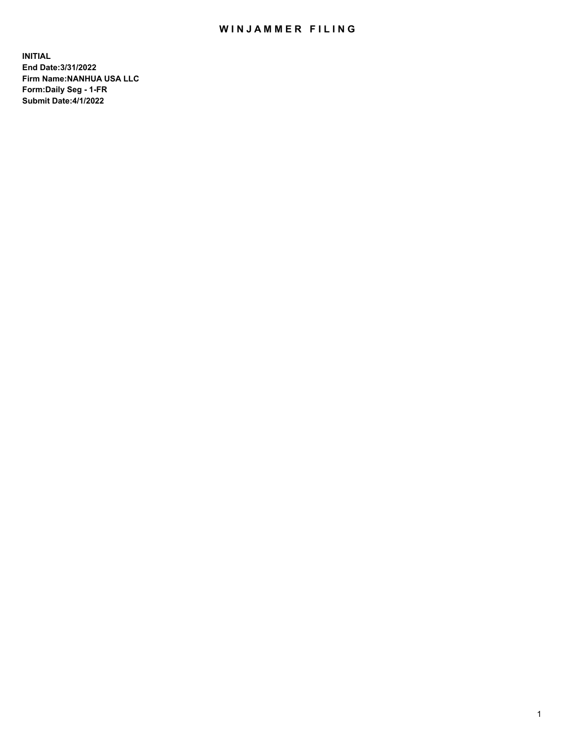## WIN JAMMER FILING

**INITIAL End Date:3/31/2022 Firm Name:NANHUA USA LLC Form:Daily Seg - 1-FR Submit Date:4/1/2022**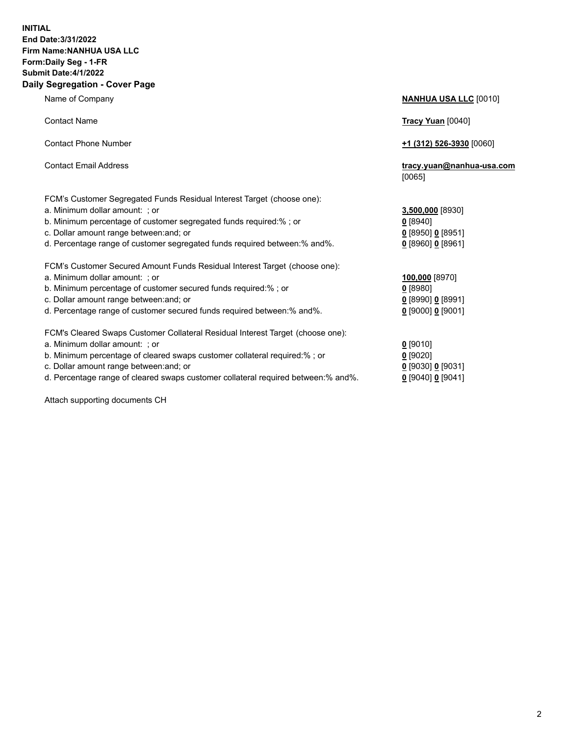## **INITIAL End Date:3/31/2022 Firm Name:NANHUA USA LLC Form:Daily Seg - 1-FR Submit Date:4/1/2022 Daily Segregation - Cover Page**

Name of Company **NANHUA USA LLC** [0010] Contact Name **Tracy Yuan** [0040] Contact Phone Number **+1 (312) 526-3930** [0060] Contact Email Address **tracy.yuan@nanhua-usa.com** [0065] FCM's Customer Segregated Funds Residual Interest Target (choose one): a. Minimum dollar amount: ; or **3,500,000** [8930] b. Minimum percentage of customer segregated funds required:% ; or **0** [8940] c. Dollar amount range between:and; or **0** [8950] **0** [8951] d. Percentage range of customer segregated funds required between:% and%. **0** [8960] **0** [8961] FCM's Customer Secured Amount Funds Residual Interest Target (choose one): a. Minimum dollar amount: ; or **100,000** [8970] b. Minimum percentage of customer secured funds required:% ; or **0** [8980] c. Dollar amount range between:and; or **0** [8990] **0** [8991] d. Percentage range of customer secured funds required between:% and%. **0** [9000] **0** [9001] FCM's Cleared Swaps Customer Collateral Residual Interest Target (choose one): a. Minimum dollar amount: ; or **0** [9010] b. Minimum percentage of cleared swaps customer collateral required:% ; or **0** [9020] c. Dollar amount range between:and; or **0** [9030] **0** [9031] d. Percentage range of cleared swaps customer collateral required between:% and%. **0** [9040] **0** [9041]

Attach supporting documents CH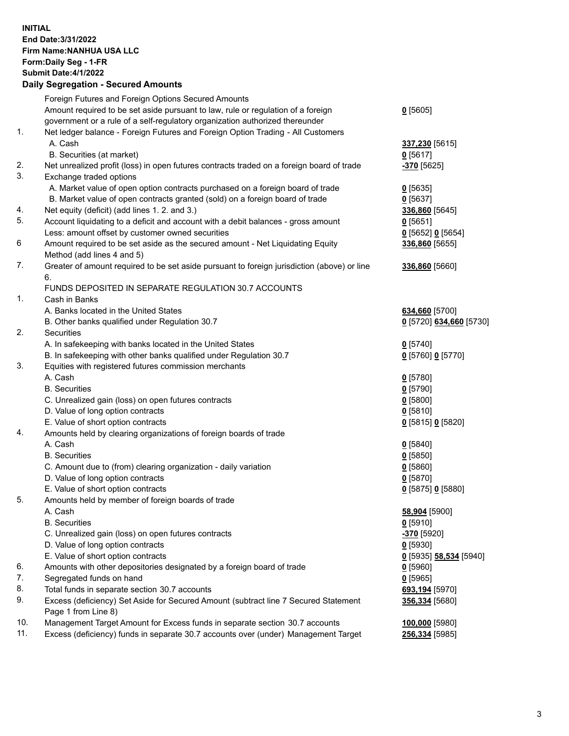**INITIAL End Date:3/31/2022 Firm Name:NANHUA USA LLC Form:Daily Seg - 1-FR Submit Date:4/1/2022 Daily Segregation - Secured Amounts**

|     | Foreign Futures and Foreign Options Secured Amounts                                         |                         |
|-----|---------------------------------------------------------------------------------------------|-------------------------|
|     | Amount required to be set aside pursuant to law, rule or regulation of a foreign            | 0[5605]                 |
|     | government or a rule of a self-regulatory organization authorized thereunder                |                         |
| 1.  | Net ledger balance - Foreign Futures and Foreign Option Trading - All Customers             |                         |
|     | A. Cash                                                                                     | 337,230 [5615]          |
|     | B. Securities (at market)                                                                   | $0$ [5617]              |
| 2.  | Net unrealized profit (loss) in open futures contracts traded on a foreign board of trade   | -370 [5625]             |
| 3.  | Exchange traded options                                                                     |                         |
|     | A. Market value of open option contracts purchased on a foreign board of trade              | $0$ [5635]              |
|     | B. Market value of open contracts granted (sold) on a foreign board of trade                | $0$ [5637]              |
| 4.  | Net equity (deficit) (add lines 1. 2. and 3.)                                               | 336,860 [5645]          |
| 5.  | Account liquidating to a deficit and account with a debit balances - gross amount           | $0$ [5651]              |
|     | Less: amount offset by customer owned securities                                            | $0$ [5652] $0$ [5654]   |
| 6   | Amount required to be set aside as the secured amount - Net Liquidating Equity              | 336,860 [5655]          |
|     | Method (add lines 4 and 5)                                                                  |                         |
| 7.  | Greater of amount required to be set aside pursuant to foreign jurisdiction (above) or line | 336,860 [5660]          |
|     | 6.                                                                                          |                         |
|     | FUNDS DEPOSITED IN SEPARATE REGULATION 30.7 ACCOUNTS                                        |                         |
| 1.  | Cash in Banks                                                                               |                         |
|     | A. Banks located in the United States                                                       | 634,660 [5700]          |
|     | B. Other banks qualified under Regulation 30.7                                              | 0 [5720] 634,660 [5730] |
| 2.  | <b>Securities</b>                                                                           |                         |
|     | A. In safekeeping with banks located in the United States                                   | $0$ [5740]              |
|     | B. In safekeeping with other banks qualified under Regulation 30.7                          | 0 [5760] 0 [5770]       |
| 3.  | Equities with registered futures commission merchants                                       |                         |
|     | A. Cash                                                                                     | $0$ [5780]              |
|     | <b>B.</b> Securities                                                                        | $0$ [5790]              |
|     | C. Unrealized gain (loss) on open futures contracts                                         | $0$ [5800]              |
|     | D. Value of long option contracts                                                           | $0$ [5810]              |
|     | E. Value of short option contracts                                                          | 0 [5815] 0 [5820]       |
| 4.  | Amounts held by clearing organizations of foreign boards of trade                           |                         |
|     | A. Cash                                                                                     | $0$ [5840]              |
|     | <b>B.</b> Securities                                                                        | $0$ [5850]              |
|     | C. Amount due to (from) clearing organization - daily variation                             | $0$ [5860]              |
|     | D. Value of long option contracts                                                           | $0$ [5870]              |
|     | E. Value of short option contracts                                                          | 0 [5875] 0 [5880]       |
| 5.  | Amounts held by member of foreign boards of trade                                           |                         |
|     | A. Cash                                                                                     | 58,904 [5900]           |
|     | <b>B.</b> Securities                                                                        | $0$ [5910]              |
|     | C. Unrealized gain (loss) on open futures contracts                                         | -370 [5920]             |
|     | D. Value of long option contracts                                                           | $0$ [5930]              |
|     | E. Value of short option contracts                                                          | 0 [5935] 58,534 [5940]  |
| 6.  | Amounts with other depositories designated by a foreign board of trade                      | $0$ [5960]              |
| 7.  | Segregated funds on hand                                                                    | $0$ [5965]              |
| 8.  | Total funds in separate section 30.7 accounts                                               | 693,194 [5970]          |
| 9.  | Excess (deficiency) Set Aside for Secured Amount (subtract line 7 Secured Statement         | 356,334 [5680]          |
|     | Page 1 from Line 8)                                                                         |                         |
| 10. | Management Target Amount for Excess funds in separate section 30.7 accounts                 | 100,000 [5980]          |
| 11. | Excess (deficiency) funds in separate 30.7 accounts over (under) Management Target          | 256,334 [5985]          |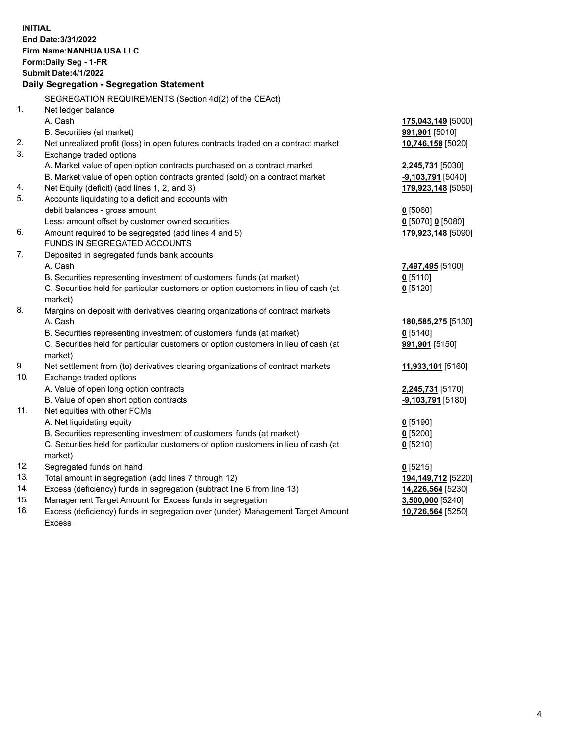| <b>INITIAL</b> | End Date: 3/31/2022<br>Firm Name: NANHUA USA LLC<br>Form: Daily Seg - 1-FR<br><b>Submit Date:4/1/2022</b><br>Daily Segregation - Segregation Statement |                                  |
|----------------|--------------------------------------------------------------------------------------------------------------------------------------------------------|----------------------------------|
|                | SEGREGATION REQUIREMENTS (Section 4d(2) of the CEAct)                                                                                                  |                                  |
| 1.             | Net ledger balance                                                                                                                                     |                                  |
|                | A. Cash                                                                                                                                                | 175,043,149 [5000]               |
|                | B. Securities (at market)                                                                                                                              | 991,901 [5010]                   |
| 2.             | Net unrealized profit (loss) in open futures contracts traded on a contract market                                                                     | 10,746,158 [5020]                |
| 3.             | Exchange traded options                                                                                                                                |                                  |
|                | A. Market value of open option contracts purchased on a contract market                                                                                | 2,245,731 [5030]                 |
|                | B. Market value of open option contracts granted (sold) on a contract market                                                                           | $-9,103,791$ [5040]              |
| 4.             | Net Equity (deficit) (add lines 1, 2, and 3)                                                                                                           | 179,923,148 [5050]               |
| 5.             | Accounts liquidating to a deficit and accounts with                                                                                                    |                                  |
|                | debit balances - gross amount                                                                                                                          | $0$ [5060]                       |
|                | Less: amount offset by customer owned securities                                                                                                       | 0 [5070] 0 [5080]                |
| 6.             | Amount required to be segregated (add lines 4 and 5)                                                                                                   | 179,923,148 [5090]               |
|                | FUNDS IN SEGREGATED ACCOUNTS                                                                                                                           |                                  |
| 7.             | Deposited in segregated funds bank accounts                                                                                                            |                                  |
|                | A. Cash                                                                                                                                                | 7,497,495 [5100]                 |
|                | B. Securities representing investment of customers' funds (at market)                                                                                  | $0$ [5110]                       |
|                | C. Securities held for particular customers or option customers in lieu of cash (at                                                                    | $0$ [5120]                       |
| 8.             | market)                                                                                                                                                |                                  |
|                | Margins on deposit with derivatives clearing organizations of contract markets<br>A. Cash                                                              |                                  |
|                | B. Securities representing investment of customers' funds (at market)                                                                                  | 180,585,275 [5130]<br>$0$ [5140] |
|                | C. Securities held for particular customers or option customers in lieu of cash (at                                                                    | 991,901 [5150]                   |
|                | market)                                                                                                                                                |                                  |
| 9.             | Net settlement from (to) derivatives clearing organizations of contract markets                                                                        | 11,933,101 [5160]                |
| 10.            | Exchange traded options                                                                                                                                |                                  |
|                | A. Value of open long option contracts                                                                                                                 | 2,245,731 [5170]                 |
|                | B. Value of open short option contracts                                                                                                                | $-9,103,791$ [5180]              |
| 11.            | Net equities with other FCMs                                                                                                                           |                                  |
|                | A. Net liquidating equity                                                                                                                              | $0$ [5190]                       |
|                | B. Securities representing investment of customers' funds (at market)                                                                                  | $0$ [5200]                       |
|                | C. Securities held for particular customers or option customers in lieu of cash (at                                                                    | $0$ [5210]                       |
|                | market)                                                                                                                                                |                                  |
| 12.            | Segregated funds on hand                                                                                                                               | $0$ [5215]                       |
| 13.            | Total amount in segregation (add lines 7 through 12)                                                                                                   | 194,149,712 [5220]               |
| 14.            | Excess (deficiency) funds in segregation (subtract line 6 from line 13)                                                                                | 14,226,564 [5230]                |
| 15.            | Management Target Amount for Excess funds in segregation                                                                                               | 3,500,000 [5240]                 |
| 16.            | Excess (deficiency) funds in segregation over (under) Management Target Amount                                                                         | 10,726,564 [5250]                |
|                | <b>Excess</b>                                                                                                                                          |                                  |